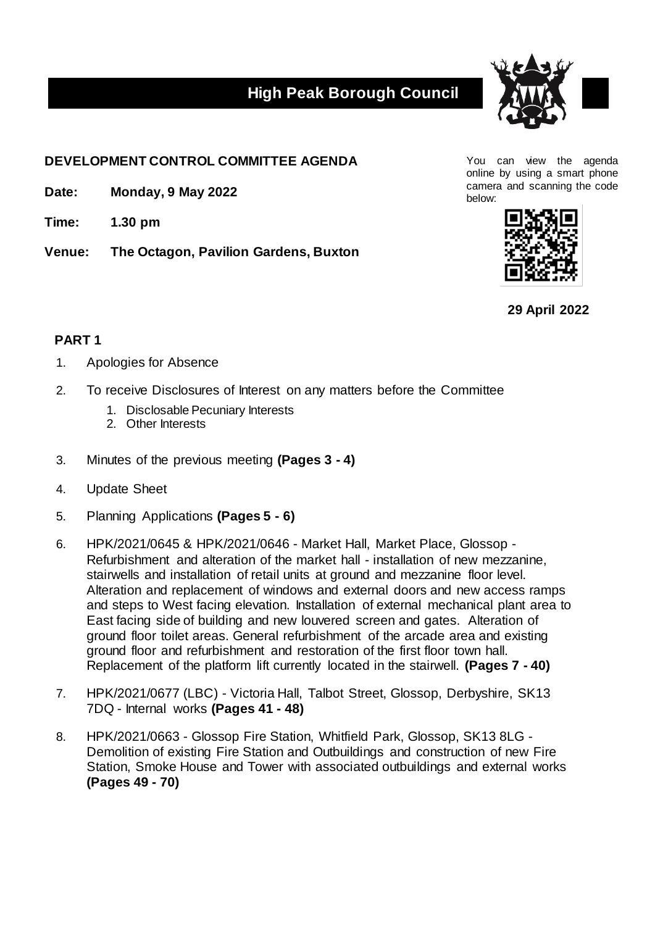## **High Peak Borough Council**



## **DEVELOPMENT CONTROL COMMITTEE AGENDA** You can view the agenda

- Date: **Monday, 9 May 2022**
- **Time: 1.30 pm**
- **Venue: The Octagon, Pavilion Gardens, Buxton**

online by using a smart phone camera and scanning the code



**29 April 2022**

## **PART 1**

- 1. Apologies for Absence
- 2. To receive Disclosures of Interest on any matters before the Committee
	- 1. Disclosable Pecuniary Interests
	- 2. Other Interests
- 3. Minutes of the previous meeting **(Pages 3 - 4)**
- 4. Update Sheet
- 5. Planning Applications **(Pages 5 - 6)**
- 6. HPK/2021/0645 & HPK/2021/0646 Market Hall, Market Place, Glossop Refurbishment and alteration of the market hall - installation of new mezzanine, stairwells and installation of retail units at ground and mezzanine floor level. Alteration and replacement of windows and external doors and new access ramps and steps to West facing elevation. Installation of external mechanical plant area to East facing side of building and new louvered screen and gates. Alteration of ground floor toilet areas. General refurbishment of the arcade area and existing ground floor and refurbishment and restoration of the first floor town hall. Replacement of the platform lift currently located in the stairwell. **(Pages 7 - 40)**
- 7. HPK/2021/0677 (LBC) Victoria Hall, Talbot Street, Glossop, Derbyshire, SK13 7DQ - Internal works **(Pages 41 - 48)**
- 8. HPK/2021/0663 Glossop Fire Station, Whitfield Park, Glossop, SK13 8LG Demolition of existing Fire Station and Outbuildings and construction of new Fire Station, Smoke House and Tower with associated outbuildings and external works **(Pages 49 - 70)**